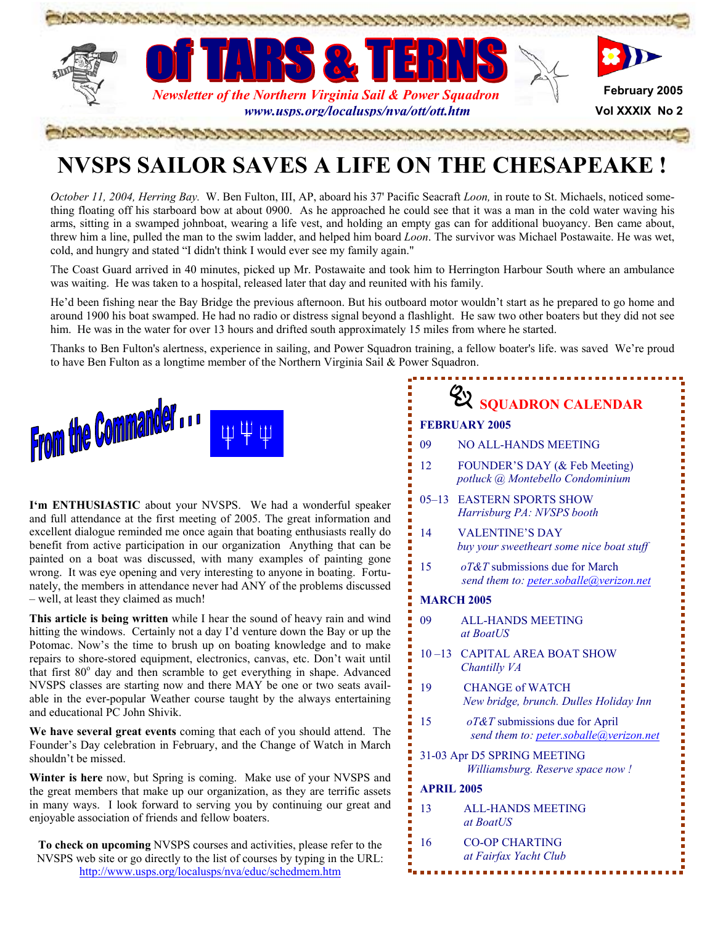

# **NVSPS SAILOR SAVES A LIFE ON THE CHESAPEAKE !**

*October 11, 2004, Herring Bay.* W. Ben Fulton, III, AP, aboard his 37' Pacific Seacraft *Loon,* in route to St. Michaels, noticed something floating off his starboard bow at about 0900. As he approached he could see that it was a man in the cold water waving his arms, sitting in a swamped johnboat, wearing a life vest, and holding an empty gas can for additional buoyancy. Ben came about, threw him a line, pulled the man to the swim ladder, and helped him board *Loon*. The survivor was Michael Postawaite. He was wet, cold, and hungry and stated "I didn't think I would ever see my family again."

The Coast Guard arrived in 40 minutes, picked up Mr. Postawaite and took him to Herrington Harbour South where an ambulance was waiting. He was taken to a hospital, released later that day and reunited with his family.

He'd been fishing near the Bay Bridge the previous afternoon. But his outboard motor wouldn't start as he prepared to go home and around 1900 his boat swamped. He had no radio or distress signal beyond a flashlight. He saw two other boaters but they did not see him. He was in the water for over 13 hours and drifted south approximately 15 miles from where he started.

Thanks to Ben Fulton's alertness, experience in sailing, and Power Squadron training, a fellow boater's life. was saved We're proud to have Ben Fulton as a longtime member of the Northern Virginia Sail  $&$  Power Squadron.



**I'm ENTHUSIASTIC** about your NVSPS. We had a wonderful speaker and full attendance at the first meeting of 2005. The great information and excellent dialogue reminded me once again that boating enthusiasts really do benefit from active participation in our organization Anything that can be painted on a boat was discussed, with many examples of painting gone wrong. It was eye opening and very interesting to anyone in boating. Fortunately, the members in attendance never had ANY of the problems discussed – well, at least they claimed as much!

**This article is being written** while I hear the sound of heavy rain and wind hitting the windows. Certainly not a day I'd venture down the Bay or up the Potomac. Now's the time to brush up on boating knowledge and to make repairs to shore-stored equipment, electronics, canvas, etc. Don't wait until that first  $80^\circ$  day and then scramble to get everything in shape. Advanced NVSPS classes are starting now and there MAY be one or two seats available in the ever-popular Weather course taught by the always entertaining and educational PC John Shivik.

**We have several great events** coming that each of you should attend. The Founder's Day celebration in February, and the Change of Watch in March shouldn't be missed.

**Winter is here** now, but Spring is coming. Make use of your NVSPS and the great members that make up our organization, as they are terrific assets in many ways. I look forward to serving you by continuing our great and enjoyable association of friends and fellow boaters.

**To check on upcoming** NVSPS courses and activities, please refer to the NVSPS web site or go directly to the list of courses by typing in the URL: <http://www.usps.org/localusps/nva/educ/schedmem.htm>

| <b>EX SQUADRON CALENDAR</b><br><b>FEBRUARY 2005</b><br><b>NO ALL-HANDS MEETING</b><br>09<br>12<br>FOUNDER'S DAY (& Feb Meeting)<br>potluck @ Montebello Condominium<br><b>EASTERN SPORTS SHOW</b><br>$05 - 13$<br>Harrisburg PA: NVSPS booth<br><b>VALENTINE'S DAY</b><br>14<br>buy your sweetheart some nice boat stuff<br>15<br>$oT&T$ submissions due for March<br>send them to: peter.soballe@verizon.net<br><b>MARCH 2005</b><br>09<br><b>ALL-HANDS MEETING</b><br>at BoatUS<br>10-13 CAPITAL AREA BOAT SHOW<br>Chantilly VA<br>CHANGE of WATCH<br>19<br>New bridge, brunch. Dulles Holiday Inn<br>15<br>$oT&T$ submissions due for April<br>send them to: peter.soballe@verizon.net<br>31-03 Apr D5 SPRING MEETING<br>Williamsburg. Reserve space now !<br><b>APRIL 2005</b><br><b>ALL-HANDS MEETING</b><br>13<br>at BoatUS<br>16<br><b>CO-OP CHARTING</b><br>at Fairfax Yacht Club | wer Squadron. | training, a fellow boater's life. was saved We're proud |  |  |  |
|-------------------------------------------------------------------------------------------------------------------------------------------------------------------------------------------------------------------------------------------------------------------------------------------------------------------------------------------------------------------------------------------------------------------------------------------------------------------------------------------------------------------------------------------------------------------------------------------------------------------------------------------------------------------------------------------------------------------------------------------------------------------------------------------------------------------------------------------------------------------------------------------|---------------|---------------------------------------------------------|--|--|--|
|                                                                                                                                                                                                                                                                                                                                                                                                                                                                                                                                                                                                                                                                                                                                                                                                                                                                                           |               |                                                         |  |  |  |
|                                                                                                                                                                                                                                                                                                                                                                                                                                                                                                                                                                                                                                                                                                                                                                                                                                                                                           |               |                                                         |  |  |  |
|                                                                                                                                                                                                                                                                                                                                                                                                                                                                                                                                                                                                                                                                                                                                                                                                                                                                                           |               |                                                         |  |  |  |
|                                                                                                                                                                                                                                                                                                                                                                                                                                                                                                                                                                                                                                                                                                                                                                                                                                                                                           |               |                                                         |  |  |  |
|                                                                                                                                                                                                                                                                                                                                                                                                                                                                                                                                                                                                                                                                                                                                                                                                                                                                                           |               |                                                         |  |  |  |
|                                                                                                                                                                                                                                                                                                                                                                                                                                                                                                                                                                                                                                                                                                                                                                                                                                                                                           |               |                                                         |  |  |  |
|                                                                                                                                                                                                                                                                                                                                                                                                                                                                                                                                                                                                                                                                                                                                                                                                                                                                                           |               |                                                         |  |  |  |
|                                                                                                                                                                                                                                                                                                                                                                                                                                                                                                                                                                                                                                                                                                                                                                                                                                                                                           |               |                                                         |  |  |  |
|                                                                                                                                                                                                                                                                                                                                                                                                                                                                                                                                                                                                                                                                                                                                                                                                                                                                                           |               |                                                         |  |  |  |
|                                                                                                                                                                                                                                                                                                                                                                                                                                                                                                                                                                                                                                                                                                                                                                                                                                                                                           |               |                                                         |  |  |  |
|                                                                                                                                                                                                                                                                                                                                                                                                                                                                                                                                                                                                                                                                                                                                                                                                                                                                                           |               |                                                         |  |  |  |
|                                                                                                                                                                                                                                                                                                                                                                                                                                                                                                                                                                                                                                                                                                                                                                                                                                                                                           |               |                                                         |  |  |  |
|                                                                                                                                                                                                                                                                                                                                                                                                                                                                                                                                                                                                                                                                                                                                                                                                                                                                                           |               |                                                         |  |  |  |
|                                                                                                                                                                                                                                                                                                                                                                                                                                                                                                                                                                                                                                                                                                                                                                                                                                                                                           |               |                                                         |  |  |  |
|                                                                                                                                                                                                                                                                                                                                                                                                                                                                                                                                                                                                                                                                                                                                                                                                                                                                                           |               |                                                         |  |  |  |
|                                                                                                                                                                                                                                                                                                                                                                                                                                                                                                                                                                                                                                                                                                                                                                                                                                                                                           |               |                                                         |  |  |  |
|                                                                                                                                                                                                                                                                                                                                                                                                                                                                                                                                                                                                                                                                                                                                                                                                                                                                                           |               |                                                         |  |  |  |

医血管性 医血管 医血管血管 医血管血管 医血管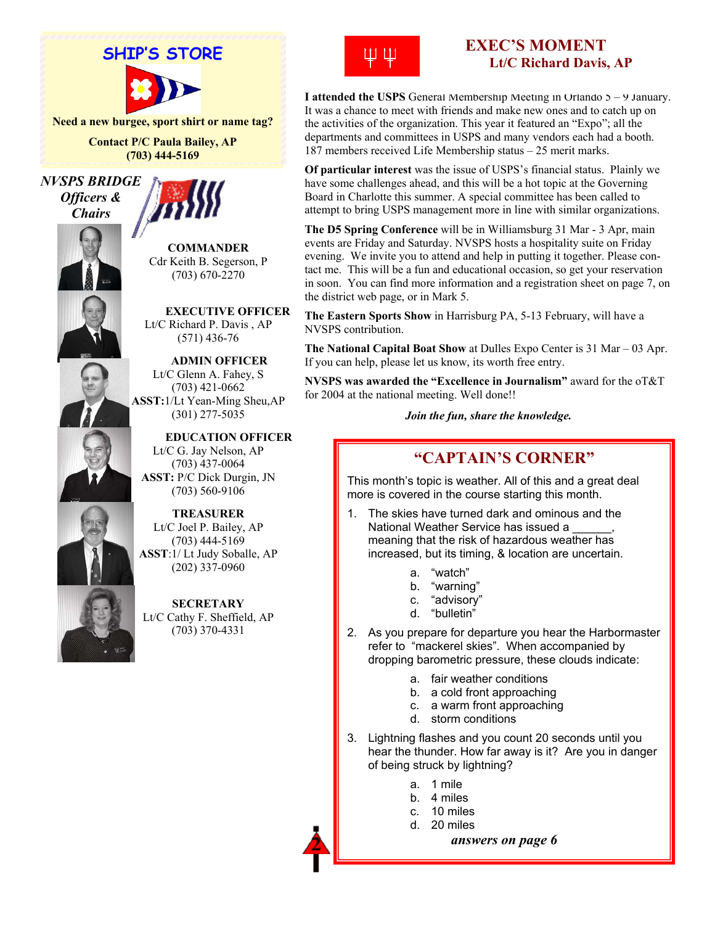

**Need a new burgee, sport shirt or name tag?** 

**Contact P/C Paula Bailey, AP (703) 444-5169**

*NVSPS BRIDGE Officers & Chairs* 



Ļ

**COMMANDER** Cdr Keith B. Segerson, P (703) 670-2270

 **EXECUTIVE OFFICER** Lt/C Richard P. Davis , AP (571) 436-76

 **ADMIN OFFICER**  Lt/C Glenn A. Fahey, S (703) 421-0662 **ASST:**1/Lt Yean-Ming Sheu,AP (301) 277-5035

 **EDUCATION OFFICER** Lt/C G. Jay Nelson, AP (703) 437-0064 **ASST:** P/C Dick Durgin, JN (703) 560-9106



**TREASURER**  Lt/C Joel P. Bailey, AP (703) 444-5169 **ASST**:1/ Lt Judy Soballe, AP (202) 337-0960

**SECRETARY** Lt/C Cathy F. Sheffield, AP (703) 370-4331



# **EXEC'S MOMENT Lt/C Richard Davis, AP**

**I attended the USPS** General Membership Meeting in Orlando 5 – 9 January. It was a chance to meet with friends and make new ones and to catch up on the activities of the organization. This year it featured an "Expo"; all the departments and committees in USPS and many vendors each had a booth. 187 members received Life Membership status – 25 merit marks.

**Of particular interest** was the issue of USPS's financial status. Plainly we have some challenges ahead, and this will be a hot topic at the Governing Board in Charlotte this summer. A special committee has been called to attempt to bring USPS management more in line with similar organizations.

**The D5 Spring Conference** will be in Williamsburg 31 Mar - 3 Apr, main events are Friday and Saturday. NVSPS hosts a hospitality suite on Friday evening. We invite you to attend and help in putting it together. Please contact me. This will be a fun and educational occasion, so get your reservation in soon. You can find more information and a registration sheet on page 7, on the district web page, or in Mark 5.

**The Eastern Sports Show** in Harrisburg PA, 5-13 February, will have a NVSPS contribution.

**The National Capital Boat Show** at Dulles Expo Center is 31 Mar – 03 Apr. If you can help, please let us know, its worth free entry.

**NVSPS was awarded the "Excellence in Journalism"** award for the oT&T for 2004 at the national meeting. Well done!!

*Join the fun, share the knowledge.* 

# **"CAPTAIN'S CORNER"**

This month's topic is weather. All of this and a great deal more is covered in the course starting this month.

- 1. The skies have turned dark and ominous and the National Weather Service has issued a \_\_\_\_\_\_, meaning that the risk of hazardous weather has increased, but its timing, & location are uncertain.
	- a. "watch"
	- b. "warning"
	- c. "advisory"
	- d. "bulletin"
- 2. As you prepare for departure you hear the Harbormaster refer to "mackerel skies". When accompanied by dropping barometric pressure, these clouds indicate:
	- a. fair weather conditions
	- b. a cold front approaching
	- c. a warm front approaching
	- d. storm conditions
- 3. Lightning flashes and you count 20 seconds until you hear the thunder. How far away is it? Are you in danger of being struck by lightning?
	- a. 1 mile
	- b. 4 miles
	- c. 10 miles
	- d. 20 miles

*answers on page 6*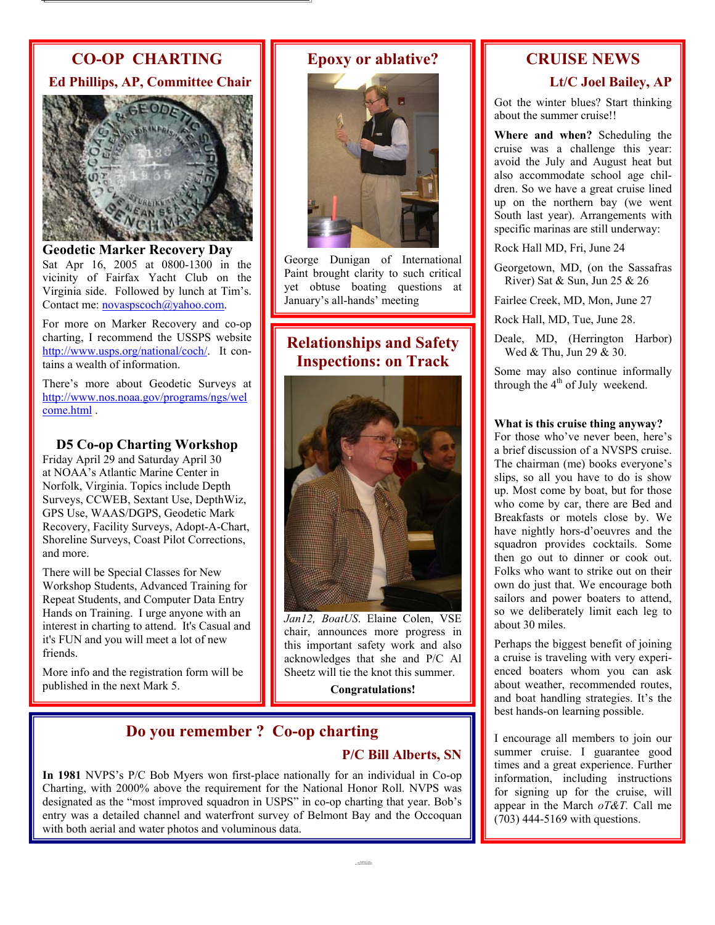# **CO-OP CHARTING**

**Ed Phillips, AP, Committee Chair**



**Geodetic Marker Recovery Day**  Sat Apr 16, 2005 at 0800-1300 in the vicinity of Fairfax Yacht Club on the Virginia side. Followed by lunch at Tim's. Contact me: **novaspscoch**@yahoo.com.

For more on Marker Recovery and co-op charting, I recommend the USSPS website <http://www.usps.org/national/coch/>. It contains a wealth of information.

There's more about Geodetic Surveys at [http://www.nos.noaa.gov/programs/ngs/wel](http://www.nos.noaa.gov/programs/ngs/welcome.html) [come.htm](http://www.nos.noaa.gov/programs/ngs/welcome.html)l .

### **D5 Co-op Charting Workshop**

Friday April 29 and Saturday April 30 at NOAA's Atlantic Marine Center in Norfolk, Virginia. Topics include Depth Surveys, CCWEB, Sextant Use, DepthWiz, GPS Use, WAAS/DGPS, Geodetic Mark Recovery, Facility Surveys, Adopt-A-Chart, Shoreline Surveys, Coast Pilot Corrections, and more.

There will be Special Classes for New Workshop Students, Advanced Training for Repeat Students, and Computer Data Entry Hands on Training. I urge anyone with an interest in charting to attend. It's Casual and it's FUN and you will meet a lot of new friends.

More info and the registration form will be published in the next Mark 5.

# **Epoxy or ablative?**

George Dunigan of International Paint brought clarity to such critical yet obtuse boating questions at January's all-hands' meeting

# **Relationships and Safety Inspections: on Track**



*Jan12, BoatUS*. Elaine Colen, VSE chair, announces more progress in this important safety work and also acknowledges that she and P/C Al Sheetz will tie the knot this summer.

**Congratulations!**

# **Do you remember ? Co-op charting**

## **P/C Bill Alberts, SN**

**In 1981** NVPS's P/C Bob Myers won first-place nationally for an individual in Co-op Charting, with 2000% above the requirement for the National Honor Roll. NVPS was designated as the "most improved squadron in USPS" in co-op charting that year. Bob's entry was a detailed channel and waterfront survey of Belmont Bay and the Occoquan with both aerial and water photos and voluminous data.

# **CRUISE NEWS Lt/C Joel Bailey, AP**

Got the winter blues? Start thinking about the summer cruise!!

**Where and when?** Scheduling the cruise was a challenge this year: avoid the July and August heat but also accommodate school age children. So we have a great cruise lined up on the northern bay (we went South last year). Arrangements with specific marinas are still underway:

Rock Hall MD, Fri, June 24

Georgetown, MD, (on the Sassafras River) Sat & Sun, Jun 25 & 26

Fairlee Creek, MD, Mon, June 27

Rock Hall, MD, Tue, June 28.

Wed & Thu, Jun 29 & 30. Deale, MD, (Herrington Harbor)

Some may also continue informally through the  $4<sup>th</sup>$  of July weekend.

### **What is this cruise thing anyway?**

about 30 miles. For those who've never been, here's a brief discussion of a NVSPS cruise. The chairman (me) books everyone's slips, so all you have to do is show up. Most come by boat, but for those who come by car, there are Bed and Breakfasts or motels close by. We have nightly hors-d'oeuvres and the squadron provides cocktails. Some then go out to dinner or cook out. Folks who want to strike out on their own do just that. We encourage both sailors and power boaters to attend, so we deliberately limit each leg to

Perhaps the biggest benefit of joining a cruise is traveling with very experienced boaters whom you can ask about weather, recommended routes, and boat handling strategies. It's the best hands-on learning possible.

 $(703)$  444-5169 with questions. I encourage all members to join our summer cruise. I guarantee good times and a great experience. Further information, including instructions for signing up for the cruise, will appear in the March *oT&T.* Call me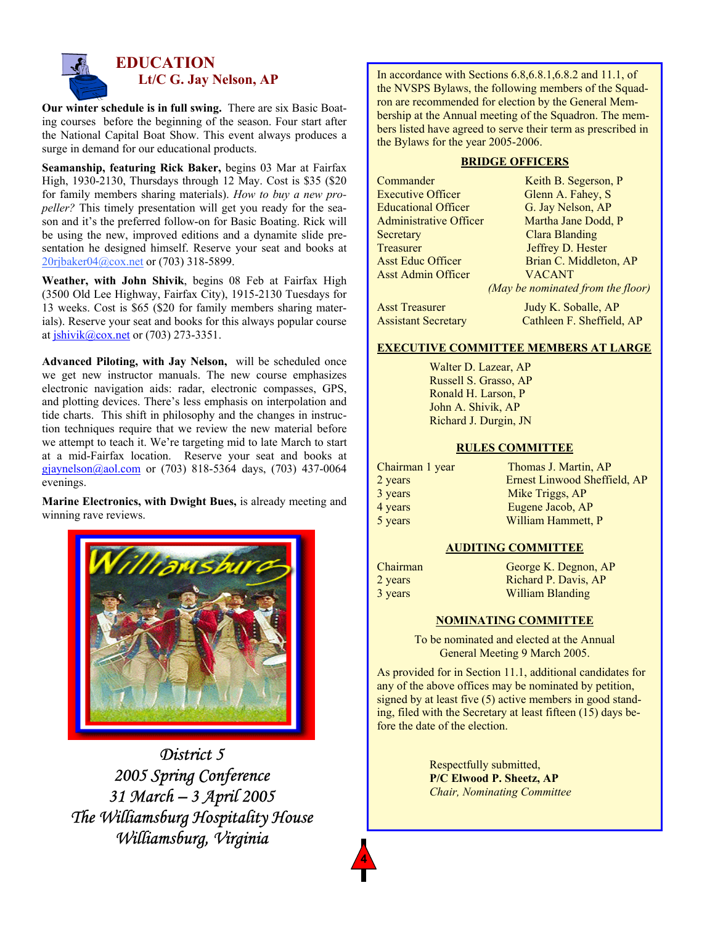

# **EDUCATION Lt/C G. Jay Nelson, AP**

 ing courses before the beginning of the season. Four start after **Our winter schedule is in full swing.** There are six Basic Boatthe National Capital Boat Show. This event always produces a surge in demand for our educational products.

 **Seamanship, featuring Rick Baker,** begins 03 Mar at Fairfax High, 1930-2130, Thursdays through 12 May. Cost is \$35 (\$20 for family members sharing materials). *How to buy a new propeller?* This timely presentation will get you ready for the season and it's the preferred follow-on for Basic Boating. Rick will be using the new, improved editions and a dynamite slide presentation he designed himself. Reserve your seat and books at [20rjbaker04@cox.net](mailto:20rjbaker04@cox.net) or (703) 318-5899.

 (3500 Old Lee Highway, Fairfax City), 1915-2130 Tuesdays for **Weather, with John Shivik**, begins 08 Feb at Fairfax High 13 weeks. Cost is \$65 (\$20 for family members sharing materials). Reserve your seat and books for this always popular course at [jshivik@cox.net](mailto:jshivik@cox.net) or (703) 273-3351.

 $gjaynelson@aol.com$  or (703) 818-5364 days, (703) 437-0064 **Advanced Piloting, with Jay Nelson,** will be scheduled once we get new instructor manuals. The new course emphasizes electronic navigation aids: radar, electronic compasses, GPS, and plotting devices. There's less emphasis on interpolation and tide charts. This shift in philosophy and the changes in instruction techniques require that we review the new material before we attempt to teach it. We're targeting mid to late March to start at a mid-Fairfax location. Reserve your seat and books at evenings.

**Marine Electronics, with Dwight Bues,** is already meeting and winning rave reviews.



*District 5 2005 Spring Conference 31 March – 3 April 2005 The Williamsburg Hospitality House Williamsburg, Virginia* 

In accordance with Sections 6.8,6.8.1,6.8.2 and 11.1, of the NVSPS Bylaws, the following members of the Squadron are recommended for election by the General Membership at the Annual meeting of the Squadron. The me mbers listed have agreed to serve their term as prescribed in the Bylaws for the year 2005-200 6.

### **BRIDGE OFFICERS**

| Commander                     | Keith B. Segerson, P              |
|-------------------------------|-----------------------------------|
| <b>Executive Officer</b>      | Glenn A. Fahey, S                 |
| <b>Educational Officer</b>    | G. Jay Nelson, AP                 |
| <b>Administrative Officer</b> | Martha Jane Dodd, P               |
| Secretary                     | <b>Clara Blanding</b>             |
| Treasurer                     | Jeffrey D. Hester                 |
| <b>Asst Educ Officer</b>      | Brian C. Middleton, AP            |
| <b>Asst Admin Officer</b>     | <b>VACANT</b>                     |
|                               | (May be nominated from the floor) |
| <b>Asst Treasurer</b>         | Judy K. Soballe, AP               |

| Asst Treasurer             | Judy K. Soballe, AP       |
|----------------------------|---------------------------|
| <b>Assistant Secretary</b> | Cathleen F. Sheffield, AP |

### **EXECUTIVE COMMITTEE MEMBERS AT LARGE**

Walter D. Lazear, AP Russell S. Grasso, AP Ronald H. Larson, P John A. Shivik, AP Richard J. Durgin, JN

### **RULES COMMITTEE**

| Chairman 1 year | Thomas J. Martin, AP         |
|-----------------|------------------------------|
| 2 years         | Ernest Linwood Sheffield, AP |
| 3 years         | Mike Triggs, AP              |
| 4 years         | Eugene Jacob, AP             |
| 5 years         | William Hammett, P           |
|                 |                              |

### **AUDITING COMMITTEE**

| Chairman | George K. Degnon, AP |
|----------|----------------------|
| 2 years  | Richard P. Davis, AP |
| 3 years  | William Blanding     |

### **NOMINATING COMMITTEE**

To be nominated and elected at the Annual General Meeting 9 March 2005.

As provided for in Section 11.1, additional candidates for any of the above offices may be nominated by petition, signed by at least five (5) active members in good standing, filed with the Secretary at least fifteen (15) days before the date of the election.

> Respectfully submitted, **P/C Elwood P. Sheetz, AP** *Chair, Nominating Committee*

**4**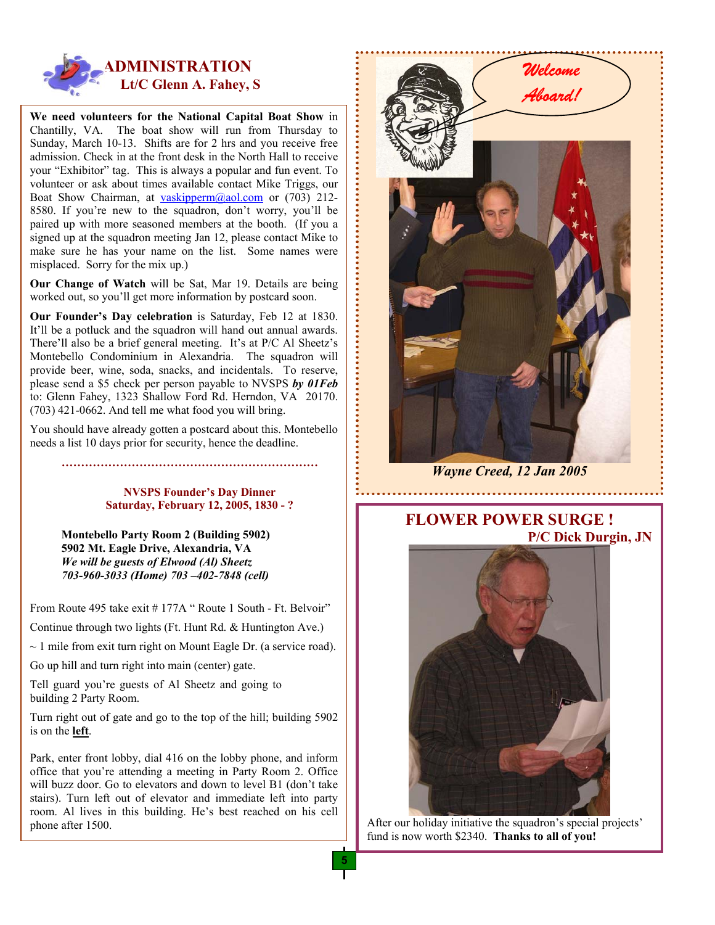

**We need volunteers for the National Capital Boat Show** in Chantilly, VA. The boat show will run from Thursday to Sunday, March 10-13. Shifts are for 2 hrs and you receive free admission. Check in at the front desk in the North Hall to receive your "Exhibitor" tag. This is always a popular and fun event. To volunteer or ask about times available contact Mike Triggs, our Boat Show C[hairman, at vaskippe](mailto:vaskipperm@aol.com)rm@aol.com or (703) 212-8580. If you're new to the squadron, don't worry, you'll be paired up with more seasoned members at the booth. (If you a signed up at the squadron meeting Jan 12, please contact Mike to make sure he has your name on the list. Some names were misplaced. Sorry for the mix up.)

**Our Change of Watch** will be Sat, Mar 19. Details are being worked out, so you'll get more information by postcard soon.

**Our Founder's Day celebration** is Saturday, Feb 12 at 1830. It'll be a potluck and the squadron will hand out annual awards. There'll also be a brief general meeting. It's at P/C Al Sheetz's Montebello Condominium in Alexandria. The squadron will provide beer, wine, soda, snacks, and incidentals. To reserve, please send a \$5 check per person payable to NVSPS *by 01Feb* to: Glenn Fahey, 1323 Shallow Ford Rd. Herndon, VA 20170. (703) 421-0662. And tell me what food you will bring.

You should have already gotten a postcard about this. Montebello needs a list 10 days prior for security, hence the deadline.

### **NVSPS Founder's Day Dinner Saturday, February 12, 2005, 1830 - ?**

**…………………………………………………………** 

**Montebello Party Room 2 (Building 5902) 5902 Mt. Eagle Drive, Alexandria, VA** *We will be guests of Elwood (Al) Sheetz 703-960-3033 (Home) 703 –402-7848 (cell)*

From Route 495 take exit # 177A " Route 1 South - Ft. Belvoir"

Continue through two lights (Ft. Hunt Rd. & Huntington Ave.)

 $\sim$  1 mile from exit turn right on Mount Eagle Dr. (a service road).

Go up hill and turn right into main (center) gate.

Tell guard you're guests of Al Sheetz and going to building 2 Party Room.

Turn right out of gate and go to the top of the hill; building 5902 is on the **left**.

Park, enter front lobby, dial 416 on the lobby phone, and inform office that you're attending a meeting in Party Room 2. Office will buzz door. Go to elevators and down to level B1 (don't take stairs). Turn left out of elevator and immediate left into party room. Al lives in this building. He's best reached on his cell phone after 1500.



*Wayne Creed, 12 Jan 2005*

# **FLOWER POWER SURGE ! P/C Dick Durgin, JN**



After our holiday initiative the squadron's special projects' fund is now worth \$2340. **Thanks to all of you!**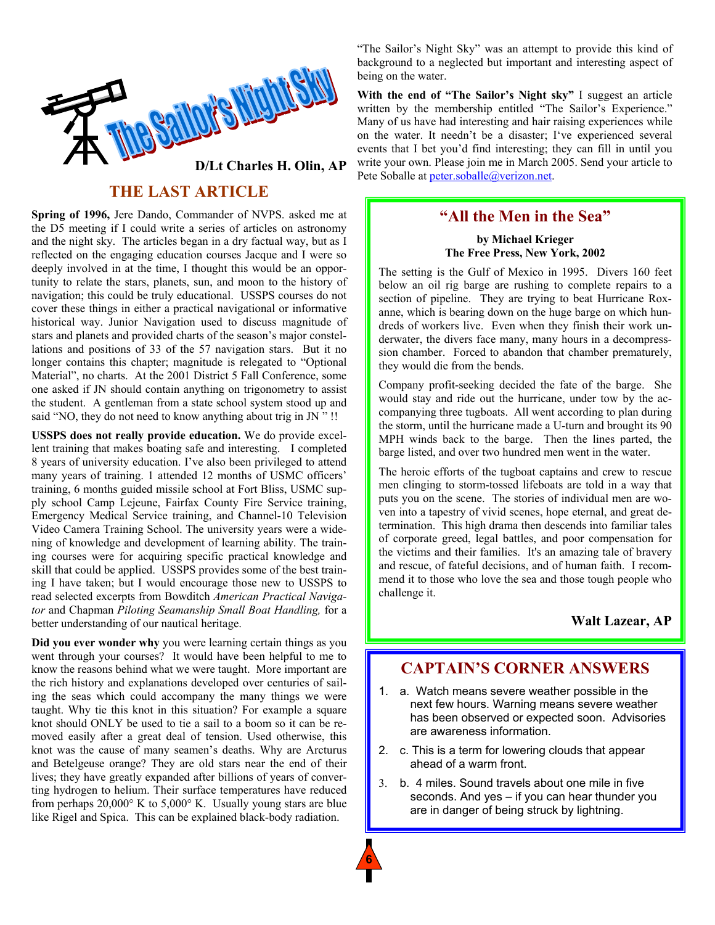

# **THE LAST ARTICLE**

**Spring of 1996,** Jere Dando, Commander of NVPS. asked me at the D5 meeting if I could write a series of articles on astronomy and the night sky. The articles began in a dry factual way, but as I reflected on the engaging education courses Jacque and I were so deeply involved in at the time, I thought this would be an opportunity to relate the stars, planets, sun, and moon to the history of navigation; this could be truly educational. USSPS courses do not cover these things in either a practical navigational or informative historical way. Junior Navigation used to discuss magnitude of stars and planets and provided charts of the season's major constellations and positions of 33 of the 57 navigation stars. But it no longer contains this chapter; magnitude is relegated to "Optional Material", no charts. At the 2001 District 5 Fall Conference, some one asked if JN should contain anything on trigonometry to assist the student. A gentleman from a state school system stood up and said "NO, they do not need to know anything about trig in JN " !!

**USSPS does not really provide education.** We do provide excellent training that makes boating safe and interesting. I completed 8 years of university education. I've also been privileged to attend many years of training. 1 attended 12 months of USMC officers' training, 6 months guided missile school at Fort Bliss, USMC supply school Camp Lejeune, Fairfax County Fire Service training, Emergency Medical Service training, and Channel-10 Television Video Camera Training School. The university years were a widening of knowledge and development of learning ability. The training courses were for acquiring specific practical knowledge and skill that could be applied. USSPS provides some of the best training I have taken; but I would encourage those new to USSPS to read selected excerpts from Bowditch *American Practical Navigator* and Chapman *Piloting Seamanship Small Boat Handling,* for a better understanding of our nautical heritage.

**Did you ever wonder why** you were learning certain things as you went through your courses? It would have been helpful to me to know the reasons behind what we were taught. More important are the rich history and explanations developed over centuries of sailing the seas which could accompany the many things we were taught. Why tie this knot in this situation? For example a square knot should ONLY be used to tie a sail to a boom so it can be removed easily after a great deal of tension. Used otherwise, this knot was the cause of many seamen's deaths. Why are Arcturus and Betelgeuse orange? They are old stars near the end of their lives; they have greatly expanded after billions of years of converting hydrogen to helium. Their surface temperatures have reduced from perhaps 20,000° K to 5,000° K. Usually young stars are blue like Rigel and Spica. This can be explained black-body radiation.

"The Sailor's Night Sky" was an attempt to provide this kind of background to a neglected but important and interesting aspect of being on the water.

**With the end of "The Sailor's Night sky"** I suggest an article written by the membership entitled "The Sailor's Experience." Many of us have had interesting and hair raising experiences while on the water. It needn't be a disaster; I've experienced several events that I bet you'd find interesting; they can fill in until you write your own. Please join me in March 2005. Send your article to **D/Lt Charles H. Olin, AP** write your own. Please join me in March 2<br>Pete Soballe at peter.soballe@verizon.net.

# **"All the Men in the Sea"**

**by Michael Krieger The Free Press, New York, 2002**

The setting is the Gulf of Mexico in 1995. Divers 160 feet below an oil rig barge are rushing to complete repairs to a section of pipeline. They are trying to beat Hurricane Roxanne, which is bearing down on the huge barge on which hundreds of workers live. Even when they finish their work underwater, the divers face many, many hours in a decompresssion chamber. Forced to abandon that chamber prematurely, they would die from the bends.

Company profit-seeking decided the fate of the barge. She would stay and ride out the hurricane, under tow by the accompanying three tugboats. All went according to plan during the storm, until the hurricane made a U-turn and brought its 90 MPH winds back to the barge. Then the lines parted, the barge listed, and over two hundred men went in the water.

The heroic efforts of the tugboat captains and crew to rescue men clinging to storm-tossed lifeboats are told in a way that puts you on the scene. The stories of individual men are woven into a tapestry of vivid scenes, hope eternal, and great determination. This high drama then descends into familiar tales of corporate greed, legal battles, and poor compensation for the victims and their families. It's an amazing tale of bravery and rescue, of fateful decisions, and of human faith. I recommend it to those who love the sea and those tough people who challenge it.

### **Walt Lazear, AP**

# **CAPTAIN'S CORNER ANSWERS**

- 1. a. Watch means severe weather possible in the next few hours. Warning means severe weather has been observed or expected soon. Advisories are awareness information.
- 2. c. This is a term for lowering clouds that appear ahead of a warm front.
- are in danger of being struck by lightning. 3. b. 4 miles. Sound travels about one mile in five seconds. And yes – if you can hear thunder you

**6**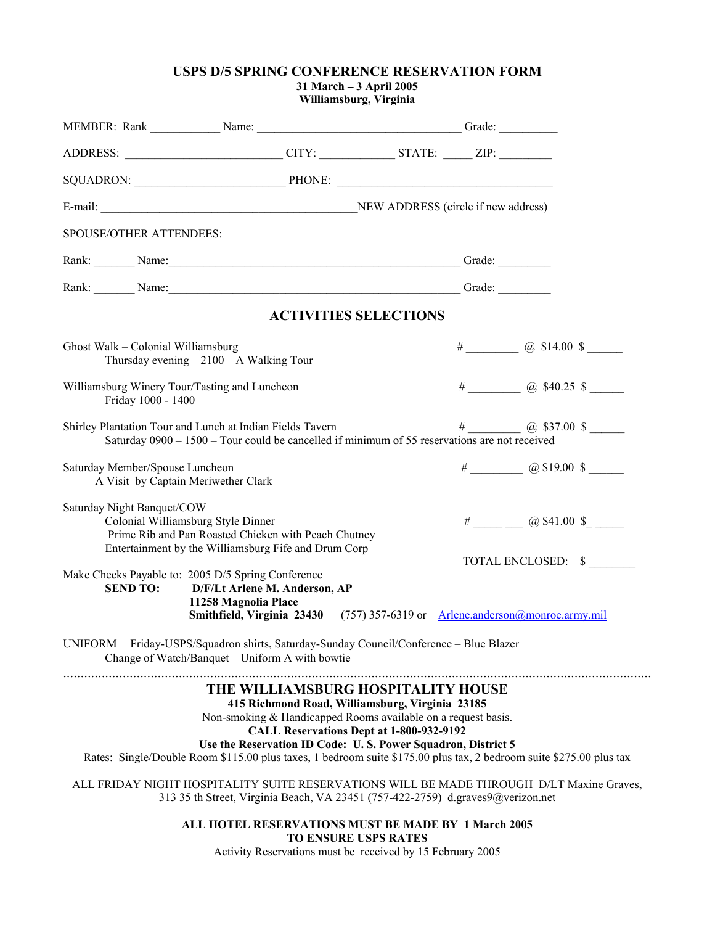### **USPS D/5 SPRING CONFERENCE RESERVATION FORM**

**31 March – 3 April 2005 Williamsburg, Virginia**

|                                                                        | ADDRESS: _____________________________CITY: ______________STATE: ______ ZIP: _______________________                                                                                                                                                                                                                                          |                                          |                           |  |
|------------------------------------------------------------------------|-----------------------------------------------------------------------------------------------------------------------------------------------------------------------------------------------------------------------------------------------------------------------------------------------------------------------------------------------|------------------------------------------|---------------------------|--|
|                                                                        | SQUADRON: PHONE: PHONE:                                                                                                                                                                                                                                                                                                                       |                                          |                           |  |
|                                                                        |                                                                                                                                                                                                                                                                                                                                               |                                          |                           |  |
| SPOUSE/OTHER ATTENDEES:                                                |                                                                                                                                                                                                                                                                                                                                               |                                          |                           |  |
|                                                                        | Rank: Name: Name: Name: Name: Name: Name: Name: Name: Name: Name: Name: Name: Name: Name: Name: Name: Name: Name: Name: Name: Name: Name: Name: Name: Name: Name: Name: Name: Name: Name: Name: Name: Name: Name: Name: Name:                                                                                                                 |                                          |                           |  |
|                                                                        | Rank: Name: Name: Name: Name: Name: Name: Name: Name: Name: Name: Name: Name: Name: Name: Name: Name: Name: Name: Name: Name: Name: Name: Name: Name: Name: Name: Name: Name: Name: Name: Name: Name: Name: Name: Name: Name:                                                                                                                 |                                          |                           |  |
|                                                                        |                                                                                                                                                                                                                                                                                                                                               | <b>ACTIVITIES SELECTIONS</b>             |                           |  |
| Ghost Walk - Colonial Williamsburg                                     | Thursday evening $-2100 - A$ Walking Tour                                                                                                                                                                                                                                                                                                     |                                          | $\#$ (a) \$14.00 \$       |  |
| Williamsburg Winery Tour/Tasting and Luncheon<br>Friday 1000 - 1400    |                                                                                                                                                                                                                                                                                                                                               |                                          | $\#$ (a) \$40.25 \$       |  |
|                                                                        | Shirley Plantation Tour and Lunch at Indian Fields Tavern<br>Saturday $0900 - 1500 -$ Tour could be cancelled if minimum of 55 reservations are not received                                                                                                                                                                                  |                                          | $\#$ (a) \$37.00 \$       |  |
| Saturday Member/Spouse Luncheon<br>A Visit by Captain Meriwether Clark |                                                                                                                                                                                                                                                                                                                                               |                                          | $\#$ (a) \$19.00 \$       |  |
| Saturday Night Banquet/COW                                             | Colonial Williamsburg Style Dinner<br>Prime Rib and Pan Roasted Chicken with Peach Chutney<br>Entertainment by the Williamsburg Fife and Drum Corp                                                                                                                                                                                            |                                          | $\#$ ___ @ \$41.00 \$____ |  |
| <b>SEND TO:</b>                                                        | Make Checks Payable to: 2005 D/5 Spring Conference<br>D/F/Lt Arlene M. Anderson, AP<br>11258 Magnolia Place                                                                                                                                                                                                                                   |                                          | TOTAL ENCLOSED: \$        |  |
|                                                                        | Smithfield, Virginia 23430 (757) 357-6319 or Arlene.anderson@monroe.army.mil                                                                                                                                                                                                                                                                  |                                          |                           |  |
|                                                                        | UNIFORM - Friday-USPS/Squadron shirts, Saturday-Sunday Council/Conference - Blue Blazer<br>Change of Watch/Banquet - Uniform A with bowtie                                                                                                                                                                                                    |                                          |                           |  |
|                                                                        | THE WILLIAMSBURG HOSPITALITY HOUSE<br>415 Richmond Road, Williamsburg, Virginia 23185<br>Non-smoking & Handicapped Rooms available on a request basis.<br>Use the Reservation ID Code: U.S. Power Squadron, District 5<br>Rates: Single/Double Room \$115.00 plus taxes, 1 bedroom suite \$175.00 plus tax, 2 bedroom suite \$275.00 plus tax | CALL Reservations Dept at 1-800-932-9192 |                           |  |
|                                                                        | ALL FRIDAY NIGHT HOSPITALITY SUITE RESERVATIONS WILL BE MADE THROUGH D/LT Maxine Graves,<br>313 35 th Street, Virginia Beach, VA 23451 (757-422-2759) d.graves9@verizon.net                                                                                                                                                                   |                                          |                           |  |
|                                                                        | ALL HOTEL RESERVATIONS MUST BE MADE BY 1 March 2005<br>Activity Reservations must be received by 15 February 2005                                                                                                                                                                                                                             | <b>TO ENSURE USPS RATES</b>              |                           |  |